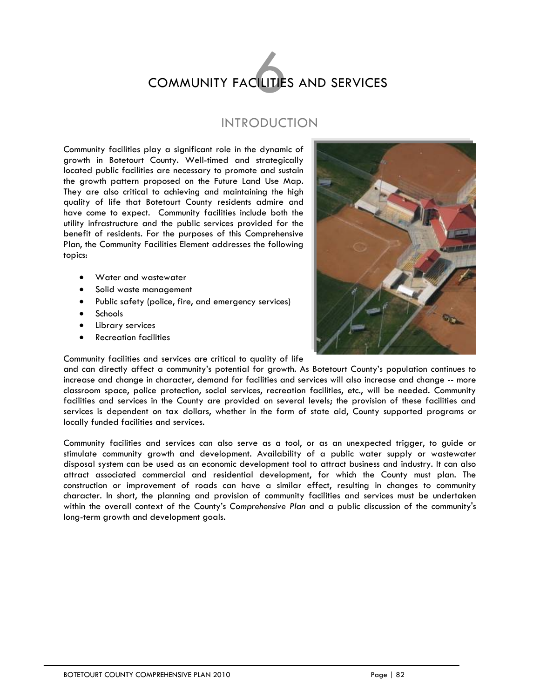# **COMMUNITY FACILITIES AND SERVICES**

# INTRODUCTION

Community facilities play a significant role in the dynamic of growth in Botetourt County. Well-timed and strategically located public facilities are necessary to promote and sustain the growth pattern proposed on the Future Land Use Map. They are also critical to achieving and maintaining the high quality of life that Botetourt County residents admire and have come to expect. Community facilities include both the utility infrastructure and the public services provided for the benefit of residents. For the purposes of this Comprehensive Plan, the Community Facilities Element addresses the following topics:

- Water and wastewater
- Solid waste management
- Public safety (police, fire, and emergency services)
- Schools
- Library services
- Recreation facilities



Community facilities and services are critical to quality of life

and can directly affect a community's potential for growth. As Botetourt County's population continues to increase and change in character, demand for facilities and services will also increase and change -- more classroom space, police protection, social services, recreation facilities, etc., will be needed. Community facilities and services in the County are provided on several levels; the provision of these facilities and services is dependent on tax dollars, whether in the form of state aid, County supported programs or locally funded facilities and services.

Community facilities and services can also serve as a tool, or as an unexpected trigger, to guide or stimulate community growth and development. Availability of a public water supply or wastewater disposal system can be used as an economic development tool to attract business and industry. It can also attract associated commercial and residential development, for which the County must plan. The construction or improvement of roads can have a similar effect, resulting in changes to community character. In short, the planning and provision of community facilities and services must be undertaken within the overall context of the County's *Comprehensive Plan* and a public discussion of the community's long-term growth and development goals.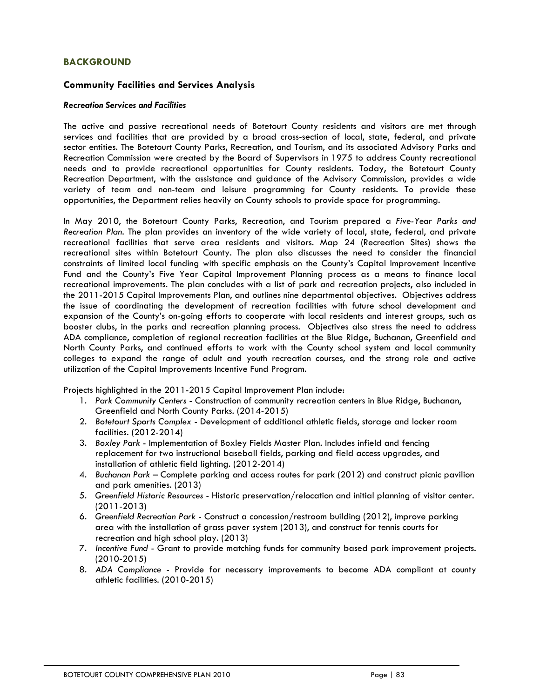# **BACKGROUND**

# **Community Facilities and Services Analysis**

#### *Recreation Services and Facilities*

The active and passive recreational needs of Botetourt County residents and visitors are met through services and facilities that are provided by a broad cross-section of local, state, federal, and private sector entities. The Botetourt County Parks, Recreation, and Tourism, and its associated Advisory Parks and Recreation Commission were created by the Board of Supervisors in 1975 to address County recreational needs and to provide recreational opportunities for County residents. Today, the Botetourt County Recreation Department, with the assistance and guidance of the Advisory Commission, provides a wide variety of team and non-team and leisure programming for County residents. To provide these opportunities, the Department relies heavily on County schools to provide space for programming.

In May 2010, the Botetourt County Parks, Recreation, and Tourism prepared a *Five-Year Parks and Recreation Plan*. The plan provides an inventory of the wide variety of local, state, federal, and private recreational facilities that serve area residents and visitors. Map 24 (Recreation Sites) shows the recreational sites within Botetourt County. The plan also discusses the need to consider the financial constraints of limited local funding with specific emphasis on the County's Capital Improvement Incentive Fund and the County's Five Year Capital Improvement Planning process as a means to finance local recreational improvements. The plan concludes with a list of park and recreation projects, also included in the 2011-2015 Capital Improvements Plan, and outlines nine departmental objectives. Objectives address the issue of coordinating the development of recreation facilities with future school development and expansion of the County's on-going efforts to cooperate with local residents and interest groups, such as booster clubs, in the parks and recreation planning process. Objectives also stress the need to address ADA compliance, completion of regional recreation facilities at the Blue Ridge, Buchanan, Greenfield and North County Parks, and continued efforts to work with the County school system and local community colleges to expand the range of adult and youth recreation courses, and the strong role and active utilization of the Capital Improvements Incentive Fund Program.

Projects highlighted in the 2011-2015 Capital Improvement Plan include:

- 1. *Park Community Centers* Construction of community recreation centers in Blue Ridge, Buchanan, Greenfield and North County Parks. (2014-2015)
- 2. *Botetourt Sports Complex* Development of additional athletic fields, storage and locker room facilities. (2012-2014)
- 3. *Boxley Park* Implementation of Boxley Fields Master Plan. Includes infield and fencing replacement for two instructional baseball fields, parking and field access upgrades, and installation of athletic field lighting. (2012-2014)
- 4. *Buchanan Park* Complete parking and access routes for park (2012) and construct picnic pavilion and park amenities. (2013)
- 5. *Greenfield Historic Resources* Historic preservation/relocation and initial planning of visitor center. (2011-2013)
- 6. *Greenfield Recreation Park* Construct a concession/restroom building (2012), improve parking area with the installation of grass paver system (2013), and construct for tennis courts for recreation and high school play. (2013)
- 7. *Incentive Fund* Grant to provide matching funds for community based park improvement projects. (2010-2015)
- 8. *ADA Compliance* Provide for necessary improvements to become ADA compliant at county athletic facilities. (2010-2015)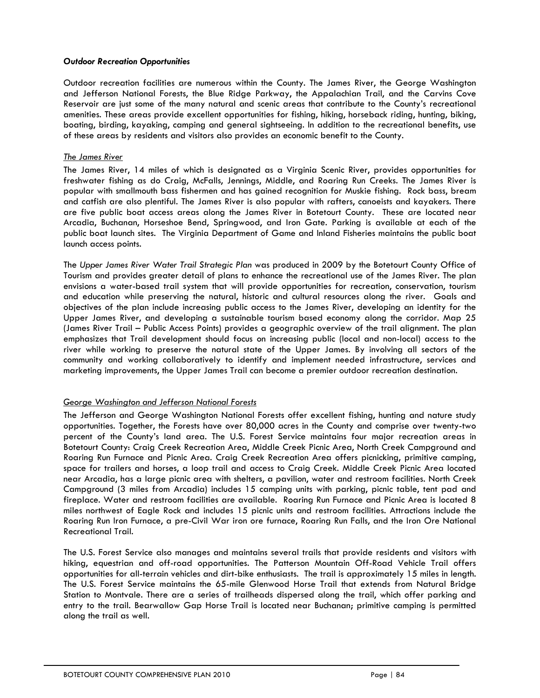#### *Outdoor Recreation Opportunities*

Outdoor recreation facilities are numerous within the County. The James River, the George Washington and Jefferson National Forests, the Blue Ridge Parkway, the Appalachian Trail, and the Carvins Cove Reservoir are just some of the many natural and scenic areas that contribute to the County's recreational amenities. These areas provide excellent opportunities for fishing, hiking, horseback riding, hunting, biking, boating, birding, kayaking, camping and general sightseeing. In addition to the recreational benefits, use of these areas by residents and visitors also provides an economic benefit to the County.

#### *The James River*

The James River, 14 miles of which is designated as a Virginia Scenic River, provides opportunities for freshwater fishing as do Craig, McFalls, Jennings, Middle, and Roaring Run Creeks. The James River is popular with smallmouth bass fishermen and has gained recognition for Muskie fishing. Rock bass, bream and catfish are also plentiful. The James River is also popular with rafters, canoeists and kayakers. There are five public boat access areas along the James River in Botetourt County. These are located near Arcadia, Buchanan, Horseshoe Bend, Springwood, and Iron Gate. Parking is available at each of the public boat launch sites. The Virginia Department of Game and Inland Fisheries maintains the public boat launch access points.

The *Upper James River Water Trail Strategic Plan* was produced in 2009 by the Botetourt County Office of Tourism and provides greater detail of plans to enhance the recreational use of the James River. The plan envisions a water-based trail system that will provide opportunities for recreation, conservation, tourism and education while preserving the natural, historic and cultural resources along the river. Goals and objectives of the plan include increasing public access to the James River, developing an identity for the Upper James River, and developing a sustainable tourism based economy along the corridor. Map 25 (James River Trail – Public Access Points) provides a geographic overview of the trail alignment. The plan emphasizes that Trail development should focus on increasing public (local and non-local) access to the river while working to preserve the natural state of the Upper James. By involving all sectors of the community and working collaboratively to identify and implement needed infrastructure, services and marketing improvements, the Upper James Trail can become a premier outdoor recreation destination.

#### *George Washington and Jefferson National Forests*

The Jefferson and George Washington National Forests offer excellent fishing, hunting and nature study opportunities. Together, the Forests have over 80,000 acres in the County and comprise over twenty-two percent of the County's land area. The U.S. Forest Service maintains four major recreation areas in Botetourt County: Craig Creek Recreation Area, Middle Creek Picnic Area, North Creek Campground and Roaring Run Furnace and Picnic Area. Craig Creek Recreation Area offers picnicking, primitive camping, space for trailers and horses, a loop trail and access to Craig Creek. Middle Creek Picnic Area located near Arcadia, has a large picnic area with shelters, a pavilion, water and restroom facilities. North Creek Campground (3 miles from Arcadia) includes 15 camping units with parking, picnic table, tent pad and fireplace. Water and restroom facilities are available. Roaring Run Furnace and Picnic Area is located 8 miles northwest of Eagle Rock and includes 15 picnic units and restroom facilities. Attractions include the Roaring Run Iron Furnace, a pre-Civil War iron ore furnace, Roaring Run Falls, and the Iron Ore National Recreational Trail.

The U.S. Forest Service also manages and maintains several trails that provide residents and visitors with hiking, equestrian and off-road opportunities. The Patterson Mountain Off-Road Vehicle Trail offers opportunities for all-terrain vehicles and dirt-bike enthusiasts. The trail is approximately 15 miles in length. The U.S. Forest Service maintains the 65-mile Glenwood Horse Trail that extends from Natural Bridge Station to Montvale. There are a series of trailheads dispersed along the trail, which offer parking and entry to the trail. Bearwallow Gap Horse Trail is located near Buchanan; primitive camping is permitted along the trail as well.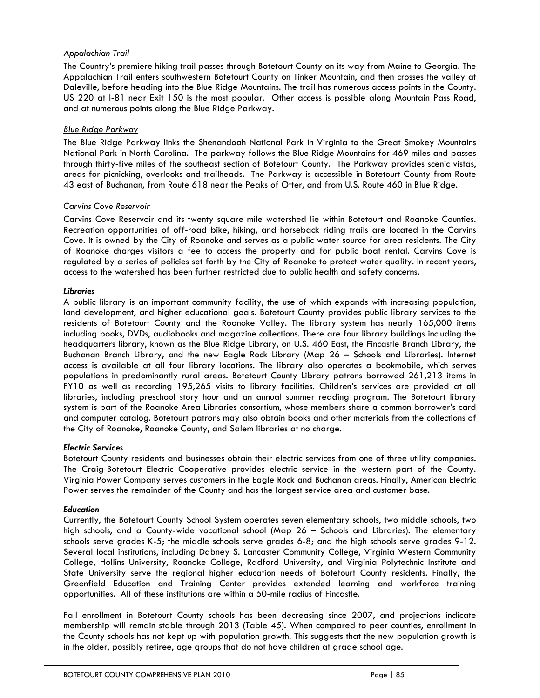# *Appalachian Trail*

The Country's premiere hiking trail passes through Botetourt County on its way from Maine to Georgia. The Appalachian Trail enters southwestern Botetourt County on Tinker Mountain, and then crosses the valley at Daleville, before heading into the Blue Ridge Mountains. The trail has numerous access points in the County. US 220 at I-81 near Exit 150 is the most popular. Other access is possible along Mountain Pass Road, and at numerous points along the Blue Ridge Parkway.

# *Blue Ridge Parkway*

The Blue Ridge Parkway links the Shenandoah National Park in Virginia to the Great Smokey Mountains National Park in North Carolina. The parkway follows the Blue Ridge Mountains for 469 miles and passes through thirty-five miles of the southeast section of Botetourt County. The Parkway provides scenic vistas, areas for picnicking, overlooks and trailheads. The Parkway is accessible in Botetourt County from Route 43 east of Buchanan, from Route 618 near the Peaks of Otter, and from U.S. Route 460 in Blue Ridge.

# *Carvins Cove Reservoir*

Carvins Cove Reservoir and its twenty square mile watershed lie within Botetourt and Roanoke Counties. Recreation opportunities of off-road bike, hiking, and horseback riding trails are located in the Carvins Cove. It is owned by the City of Roanoke and serves as a public water source for area residents. The City of Roanoke charges visitors a fee to access the property and for public boat rental. Carvins Cove is regulated by a series of policies set forth by the City of Roanoke to protect water quality. In recent years, access to the watershed has been further restricted due to public health and safety concerns.

# *Libraries*

A public library is an important community facility, the use of which expands with increasing population, land development, and higher educational goals. Botetourt County provides public library services to the residents of Botetourt County and the Roanoke Valley. The library system has nearly 165,000 items including books, DVDs, audiobooks and magazine collections. There are four library buildings including the headquarters library, known as the Blue Ridge Library, on U.S. 460 East, the Fincastle Branch Library, the Buchanan Branch Library, and the new Eagle Rock Library (Map 26 – Schools and Libraries). Internet access is available at all four library locations. The library also operates a bookmobile, which serves populations in predominantly rural areas. Botetourt County Library patrons borrowed 261,213 items in FY10 as well as recording 195,265 visits to library facilities. Children's services are provided at all libraries, including preschool story hour and an annual summer reading program. The Botetourt library system is part of the Roanoke Area Libraries consortium, whose members share a common borrower's card and computer catalog. Botetourt patrons may also obtain books and other materials from the collections of the City of Roanoke, Roanoke County, and Salem libraries at no charge.

#### *Electric Services*

Botetourt County residents and businesses obtain their electric services from one of three utility companies. The Craig-Botetourt Electric Cooperative provides electric service in the western part of the County. Virginia Power Company serves customers in the Eagle Rock and Buchanan areas. Finally, American Electric Power serves the remainder of the County and has the largest service area and customer base.

# *Education*

Currently, the Botetourt County School System operates seven elementary schools, two middle schools, two high schools, and a County-wide vocational school (Map 26 – Schools and Libraries). The elementary schools serve grades K-5; the middle schools serve grades 6-8; and the high schools serve grades 9-12. Several local institutions, including Dabney S. Lancaster Community College, Virginia Western Community College, Hollins University, Roanoke College, Radford University, and Virginia Polytechnic Institute and State University serve the regional higher education needs of Botetourt County residents. Finally, the Greenfield Education and Training Center provides extended learning and workforce training opportunities. All of these institutions are within a 50-mile radius of Fincastle.

Fall enrollment in Botetourt County schools has been decreasing since 2007, and projections indicate membership will remain stable through 2013 (Table 45). When compared to peer counties, enrollment in the County schools has not kept up with population growth. This suggests that the new population growth is in the older, possibly retiree, age groups that do not have children at grade school age.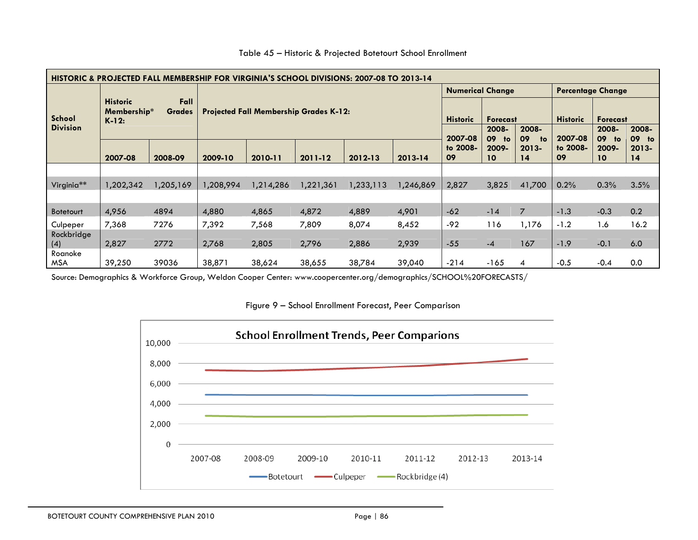| HISTORIC & PROJECTED FALL MEMBERSHIP FOR VIRGINIA'S SCHOOL DIVISIONS: 2007-08 TO 2013-14 |                                                                    |           |                                               |           |           |           |           |                                    |                                        |                 |                                        |                          |                |
|------------------------------------------------------------------------------------------|--------------------------------------------------------------------|-----------|-----------------------------------------------|-----------|-----------|-----------|-----------|------------------------------------|----------------------------------------|-----------------|----------------------------------------|--------------------------|----------------|
|                                                                                          | Fall<br><b>Historic</b><br>Membership*<br><b>Grades</b><br>$K-12:$ |           | <b>Projected Fall Membership Grades K-12:</b> |           |           |           |           | <b>Numerical Change</b>            |                                        |                 | <b>Percentage Change</b>               |                          |                |
| School<br><b>Division</b>                                                                |                                                                    |           |                                               |           |           |           |           | <b>Historic</b><br><b>Forecast</b> |                                        | <b>Historic</b> | <b>Forecast</b>                        |                          |                |
|                                                                                          |                                                                    |           |                                               |           |           |           |           | 2007-08                            | 2008-<br>2008-<br>09<br>09<br>to<br>to | 2007-08         | 2008-<br>2008-<br>09<br>09<br>to<br>to |                          |                |
|                                                                                          | 2007-08                                                            | 2008-09   | 2009-10                                       | 2010-11   | 2011-12   | 2012-13   | 2013-14   | to 2008-<br>09                     | 2009-<br>10 <sup>°</sup>               | $2013 -$<br>14  | to 2008-<br>09                         | 2009-<br>10 <sup>°</sup> | $2013 -$<br>14 |
|                                                                                          |                                                                    |           |                                               |           |           |           |           |                                    |                                        |                 |                                        |                          |                |
| Virginia**                                                                               | 1,202,342                                                          | 1,205,169 | ,208,994                                      | 1,214,286 | 1,221,361 | 1,233,113 | 1,246,869 | 2,827                              | 3,825                                  | 41,700          | 0.2%                                   | 0.3%                     | 3.5%           |
|                                                                                          |                                                                    |           |                                               |           |           |           |           |                                    |                                        |                 |                                        |                          |                |
| <b>Botetourt</b>                                                                         | 4,956                                                              | 4894      | 4,880                                         | 4,865     | 4,872     | 4,889     | 4,901     | $-62$                              | $-14$                                  | $\overline{7}$  | $-1.3$                                 | $-0.3$                   | 0.2            |
| Culpeper                                                                                 | 7,368                                                              | 7276      | 7,392                                         | 7,568     | 7,809     | 8,074     | 8,452     | $-92$                              | 116                                    | 1,176           | $-1.2$                                 | 1.6                      | 16.2           |
| Rockbridge<br>(4)                                                                        | 2,827                                                              | 2772      | 2,768                                         | 2,805     | 2,796     | 2,886     | 2,939     | $-55$                              | $-4$                                   | 167             | $-1.9$                                 | $-0.1$                   | 6.0            |
| Roanoke                                                                                  |                                                                    |           |                                               |           |           |           |           |                                    |                                        |                 |                                        |                          |                |
| MSA                                                                                      | 39,250                                                             | 39036     | 38,871                                        | 38,624    | 38,655    | 38,784    | 39,040    | $-214$                             | $-165$                                 | 4               | $-0.5$                                 | $-0.4$                   | 0.0            |

#### Table 45 – Historic & Projected Botetourt School Enrollment

Source: Demographics & Workforce Group, Weldon Cooper Center: www.coopercenter.org/demographics/SCHOOL%20FORECASTS/

Figure 9 – School Enrollment Forecast, Peer Comparison

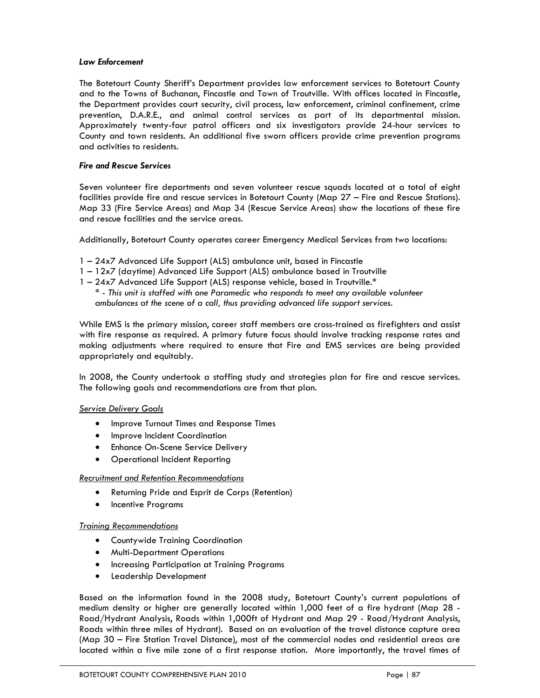#### *Law Enforcement*

The Botetourt County Sheriff's Department provides law enforcement services to Botetourt County and to the Towns of Buchanan, Fincastle and Town of Troutville. With offices located in Fincastle, the Department provides court security, civil process, law enforcement, criminal confinement, crime prevention, D.A.R.E., and animal control services as part of its departmental mission. Approximately twenty-four patrol officers and six investigators provide 24-hour services to County and town residents. An additional five sworn officers provide crime prevention programs and activities to residents.

#### *Fire and Rescue Services*

Seven volunteer fire departments and seven volunteer rescue squads located at a total of eight facilities provide fire and rescue services in Botetourt County (Map 27 – Fire and Rescue Stations). Map 33 (Fire Service Areas) and Map 34 (Rescue Service Areas) show the locations of these fire and rescue facilities and the service areas.

Additionally, Botetourt County operates career Emergency Medical Services from two locations:

- 1 24x7 Advanced Life Support (ALS) ambulance unit, based in Fincastle
- 1 12x7 (daytime) Advanced Life Support (ALS) ambulance based in Troutville
- 1 24x7 Advanced Life Support (ALS) response vehicle, based in Troutville.\*

*\* - This unit is staffed with one Paramedic who responds to meet any available volunteer ambulances at the scene of a call, thus providing advanced life support services.* 

While EMS is the primary mission, career staff members are cross-trained as firefighters and assist with fire response as required. A primary future focus should involve tracking response rates and making adjustments where required to ensure that Fire and EMS services are being provided appropriately and equitably.

In 2008, the County undertook a staffing study and strategies plan for fire and rescue services. The following goals and recommendations are from that plan.

#### *Service Delivery Goals*

- Improve Turnout Times and Response Times
- Improve Incident Coordination
- Enhance On-Scene Service Delivery
- Operational Incident Reporting

#### *Recruitment and Retention Recommendations*

- Returning Pride and Esprit de Corps (Retention)
- Incentive Programs

#### *Training Recommendations*

- Countywide Training Coordination
- Multi-Department Operations
- Increasing Participation at Training Programs
- Leadership Development

Based on the information found in the 2008 study, Botetourt County's current populations of medium density or higher are generally located within 1,000 feet of a fire hydrant (Map 28 - Road/Hydrant Analysis, Roads within 1,000ft of Hydrant and Map 29 - Road/Hydrant Analysis, Roads within three miles of Hydrant). Based on an evaluation of the travel distance capture area (Map 30 – Fire Station Travel Distance), most of the commercial nodes and residential areas are located within a five mile zone of a first response station. More importantly, the travel times of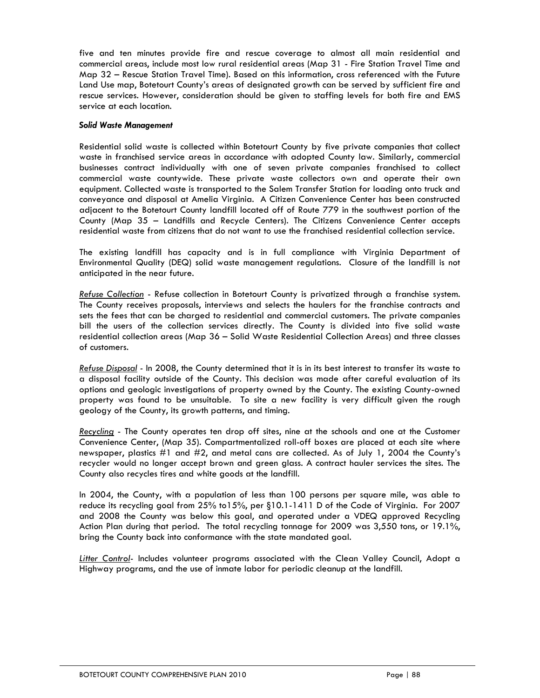five and ten minutes provide fire and rescue coverage to almost all main residential and commercial areas, include most low rural residential areas (Map 31 - Fire Station Travel Time and Map 32 – Rescue Station Travel Time). Based on this information, cross referenced with the Future Land Use map, Botetourt County's areas of designated growth can be served by sufficient fire and rescue services. However, consideration should be given to staffing levels for both fire and EMS service at each location.

#### *Solid Waste Management*

Residential solid waste is collected within Botetourt County by five private companies that collect waste in franchised service areas in accordance with adopted County law. Similarly, commercial businesses contract individually with one of seven private companies franchised to collect commercial waste countywide. These private waste collectors own and operate their own equipment. Collected waste is transported to the Salem Transfer Station for loading onto truck and conveyance and disposal at Amelia Virginia. A Citizen Convenience Center has been constructed adjacent to the Botetourt County landfill located off of Route 779 in the southwest portion of the County (Map 35 – Landfills and Recycle Centers). The Citizens Convenience Center accepts residential waste from citizens that do not want to use the franchised residential collection service.

The existing landfill has capacity and is in full compliance with Virginia Department of Environmental Quality (DEQ) solid waste management regulations. Closure of the landfill is not anticipated in the near future.

*Refuse Collection* - Refuse collection in Botetourt County is privatized through a franchise system. The County receives proposals, interviews and selects the haulers for the franchise contracts and sets the fees that can be charged to residential and commercial customers. The private companies bill the users of the collection services directly. The County is divided into five solid waste residential collection areas (Map 36 – Solid Waste Residential Collection Areas) and three classes of customers.

*Refuse Disposal -* In 2008, the County determined that it is in its best interest to transfer its waste to a disposal facility outside of the County. This decision was made after careful evaluation of its options and geologic investigations of property owned by the County. The existing County-owned property was found to be unsuitable. To site a new facility is very difficult given the rough geology of the County, its growth patterns, and timing.

*Recycling* - The County operates ten drop off sites, nine at the schools and one at the Customer Convenience Center, (Map 35). Compartmentalized roll-off boxes are placed at each site where newspaper, plastics #1 and #2, and metal cans are collected. As of July 1, 2004 the County's recycler would no longer accept brown and green glass. A contract hauler services the sites. The County also recycles tires and white goods at the landfill.

In 2004, the County, with a population of less than 100 persons per square mile, was able to reduce its recycling goal from 25% to15%, per §10.1-1411 D of the Code of Virginia. For 2007 and 2008 the County was below this goal, and operated under a VDEQ approved Recycling Action Plan during that period. The total recycling tonnage for 2009 was 3,550 tons, or 19.1%, bring the County back into conformance with the state mandated goal.

*Litter Control-* Includes volunteer programs associated with the Clean Valley Council, Adopt a Highway programs, and the use of inmate labor for periodic cleanup at the landfill.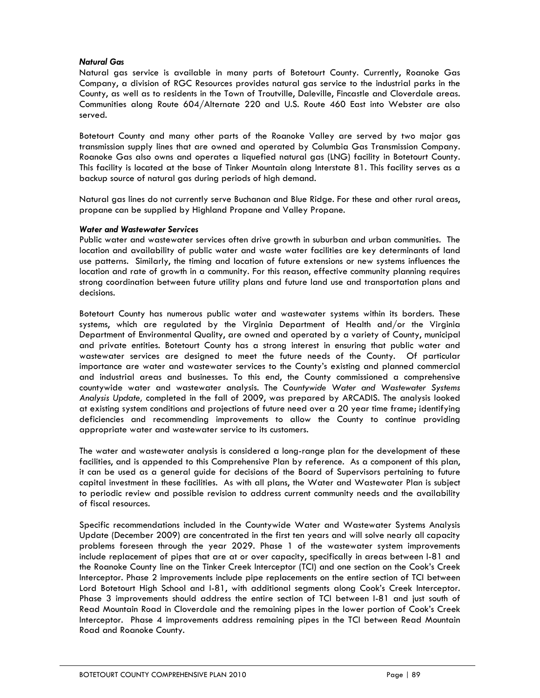#### *Natural Gas*

Natural gas service is available in many parts of Botetourt County. Currently, Roanoke Gas Company, a division of RGC Resources provides natural gas service to the industrial parks in the County, as well as to residents in the Town of Troutville, Daleville, Fincastle and Cloverdale areas. Communities along Route 604/Alternate 220 and U.S. Route 460 East into Webster are also served.

Botetourt County and many other parts of the Roanoke Valley are served by two major gas transmission supply lines that are owned and operated by Columbia Gas Transmission Company. Roanoke Gas also owns and operates a liquefied natural gas (LNG) facility in Botetourt County. This facility is located at the base of Tinker Mountain along Interstate 81. This facility serves as a backup source of natural gas during periods of high demand.

Natural gas lines do not currently serve Buchanan and Blue Ridge. For these and other rural areas, propane can be supplied by Highland Propane and Valley Propane.

#### *Water and Wastewater Services*

Public water and wastewater services often drive growth in suburban and urban communities. The location and availability of public water and waste water facilities are key determinants of land use patterns. Similarly, the timing and location of future extensions or new systems influences the location and rate of growth in a community. For this reason, effective community planning requires strong coordination between future utility plans and future land use and transportation plans and decisions.

Botetourt County has numerous public water and wastewater systems within its borders. These systems, which are regulated by the Virginia Department of Health and/or the Virginia Department of Environmental Quality, are owned and operated by a variety of County, municipal and private entities. Botetourt County has a strong interest in ensuring that public water and wastewater services are designed to meet the future needs of the County. Of particular importance are water and wastewater services to the County's existing and planned commercial and industrial areas and businesses. To this end, the County commissioned a comprehensive countywide water and wastewater analysis. The *Countywide Water and Wastewater Systems Analysis Update,* completed in the fall of 2009, was prepared by ARCADIS. The analysis looked at existing system conditions and projections of future need over a 20 year time frame; identifying deficiencies and recommending improvements to allow the County to continue providing appropriate water and wastewater service to its customers.

The water and wastewater analysis is considered a long-range plan for the development of these facilities, and is appended to this Comprehensive Plan by reference. As a component of this plan, it can be used as a general guide for decisions of the Board of Supervisors pertaining to future capital investment in these facilities. As with all plans, the Water and Wastewater Plan is subject to periodic review and possible revision to address current community needs and the availability of fiscal resources.

Specific recommendations included in the Countywide Water and Wastewater Systems Analysis Update (December 2009) are concentrated in the first ten years and will solve nearly all capacity problems foreseen through the year 2029. Phase 1 of the wastewater system improvements include replacement of pipes that are at or over capacity, specifically in areas between I-81 and the Roanoke County line on the Tinker Creek Interceptor (TCI) and one section on the Cook's Creek Interceptor. Phase 2 improvements include pipe replacements on the entire section of TCI between Lord Botetourt High School and I-81, with additional segments along Cook's Creek Interceptor. Phase 3 improvements should address the entire section of TCI between I-81 and just south of Read Mountain Road in Cloverdale and the remaining pipes in the lower portion of Cook's Creek Interceptor. Phase 4 improvements address remaining pipes in the TCI between Read Mountain Road and Roanoke County.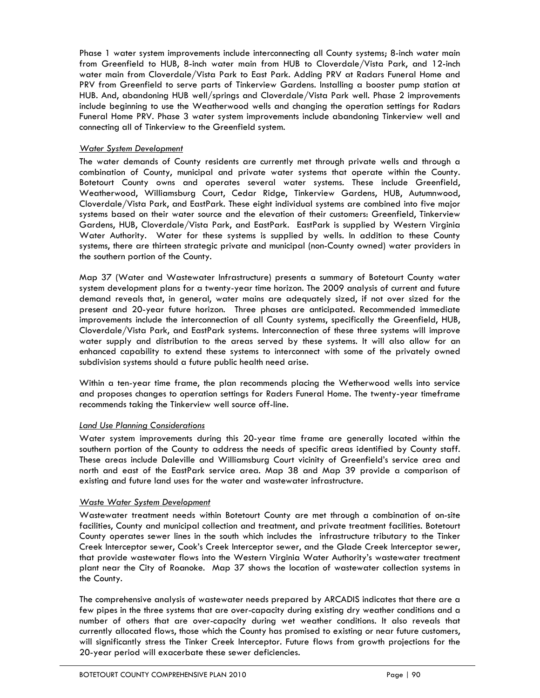Phase 1 water system improvements include interconnecting all County systems; 8-inch water main from Greenfield to HUB, 8-inch water main from HUB to Cloverdale/Vista Park, and 12-inch water main from Cloverdale/Vista Park to East Park. Adding PRV at Radars Funeral Home and PRV from Greenfield to serve parts of Tinkerview Gardens. Installing a booster pump station at HUB. And, abandoning HUB well/springs and Cloverdale/Vista Park well. Phase 2 improvements include beginning to use the Weatherwood wells and changing the operation settings for Radars Funeral Home PRV. Phase 3 water system improvements include abandoning Tinkerview well and connecting all of Tinkerview to the Greenfield system.

#### *Water System Development*

The water demands of County residents are currently met through private wells and through a combination of County, municipal and private water systems that operate within the County. Botetourt County owns and operates several water systems. These include Greenfield, Weatherwood, Williamsburg Court, Cedar Ridge, Tinkerview Gardens, HUB, Autumnwood, Cloverdale/Vista Park, and EastPark. These eight individual systems are combined into five major systems based on their water source and the elevation of their customers: Greenfield, Tinkerview Gardens, HUB, Cloverdale/Vista Park, and EastPark. EastPark is supplied by Western Virginia Water Authority. Water for these systems is supplied by wells. In addition to these County systems, there are thirteen strategic private and municipal (non-County owned) water providers in the southern portion of the County.

Map 37 (Water and Wastewater Infrastructure) presents a summary of Botetourt County water system development plans for a twenty-year time horizon. The 2009 analysis of current and future demand reveals that, in general, water mains are adequately sized, if not over sized for the present and 20-year future horizon. Three phases are anticipated. Recommended immediate improvements include the interconnection of all County systems, specifically the Greenfield, HUB, Cloverdale/Vista Park, and EastPark systems. Interconnection of these three systems will improve water supply and distribution to the areas served by these systems. It will also allow for an enhanced capability to extend these systems to interconnect with some of the privately owned subdivision systems should a future public health need arise.

Within a ten-year time frame, the plan recommends placing the Wetherwood wells into service and proposes changes to operation settings for Raders Funeral Home. The twenty-year timeframe recommends taking the Tinkerview well source off-line.

#### *Land Use Planning Considerations*

Water system improvements during this 20-year time frame are generally located within the southern portion of the County to address the needs of specific areas identified by County staff. These areas include Daleville and Williamsburg Court vicinity of Greenfield's service area and north and east of the EastPark service area. Map 38 and Map 39 provide a comparison of existing and future land uses for the water and wastewater infrastructure.

#### *Waste Water System Development*

Wastewater treatment needs within Botetourt County are met through a combination of on-site facilities, County and municipal collection and treatment, and private treatment facilities. Botetourt County operates sewer lines in the south which includes the infrastructure tributary to the Tinker Creek Interceptor sewer, Cook's Creek Interceptor sewer, and the Glade Creek Interceptor sewer, that provide wastewater flows into the Western Virginia Water Authority's wastewater treatment plant near the City of Roanoke. Map 37 shows the location of wastewater collection systems in the County.

The comprehensive analysis of wastewater needs prepared by ARCADIS indicates that there are a few pipes in the three systems that are over-capacity during existing dry weather conditions and a number of others that are over-capacity during wet weather conditions. It also reveals that currently allocated flows, those which the County has promised to existing or near future customers, will significantly stress the Tinker Creek Interceptor. Future flows from growth projections for the 20-year period will exacerbate these sewer deficiencies.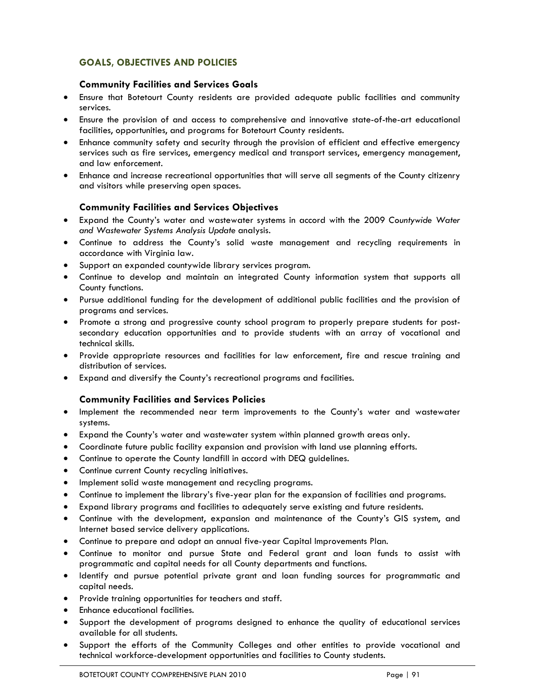# **GOALS, OBJECTIVES AND POLICIES**

# **Community Facilities and Services Goals**

- Ensure that Botetourt County residents are provided adequate public facilities and community services.
- Ensure the provision of and access to comprehensive and innovative state-of-the-art educational facilities, opportunities, and programs for Botetourt County residents.
- Enhance community safety and security through the provision of efficient and effective emergency services such as fire services, emergency medical and transport services, emergency management, and law enforcement.
- Enhance and increase recreational opportunities that will serve all segments of the County citizenry and visitors while preserving open spaces.

# **Community Facilities and Services Objectives**

- Expand the County's water and wastewater systems in accord with the 2009 *Countywide Water and Wastewater Systems Analysis Update* analysis.
- Continue to address the County's solid waste management and recycling requirements in accordance with Virginia law.
- Support an expanded countywide library services program.
- Continue to develop and maintain an integrated County information system that supports all County functions.
- Pursue additional funding for the development of additional public facilities and the provision of programs and services.
- Promote a strong and progressive county school program to properly prepare students for postsecondary education opportunities and to provide students with an array of vocational and technical skills.
- Provide appropriate resources and facilities for law enforcement, fire and rescue training and distribution of services.
- Expand and diversify the County's recreational programs and facilities.

# **Community Facilities and Services Policies**

- Implement the recommended near term improvements to the County's water and wastewater systems.
- Expand the County's water and wastewater system within planned growth areas only.
- Coordinate future public facility expansion and provision with land use planning efforts.
- Continue to operate the County landfill in accord with DEQ guidelines.
- Continue current County recycling initiatives.
- Implement solid waste management and recycling programs.
- Continue to implement the library's five-year plan for the expansion of facilities and programs.
- Expand library programs and facilities to adequately serve existing and future residents.
- Continue with the development, expansion and maintenance of the County's GIS system, and Internet based service delivery applications.
- Continue to prepare and adopt an annual five-year Capital Improvements Plan.
- Continue to monitor and pursue State and Federal grant and loan funds to assist with programmatic and capital needs for all County departments and functions.
- Identify and pursue potential private grant and loan funding sources for programmatic and capital needs.
- Provide training opportunities for teachers and staff.
- Enhance educational facilities.
- Support the development of programs designed to enhance the quality of educational services available for all students.
- Support the efforts of the Community Colleges and other entities to provide vocational and technical workforce-development opportunities and facilities to County students.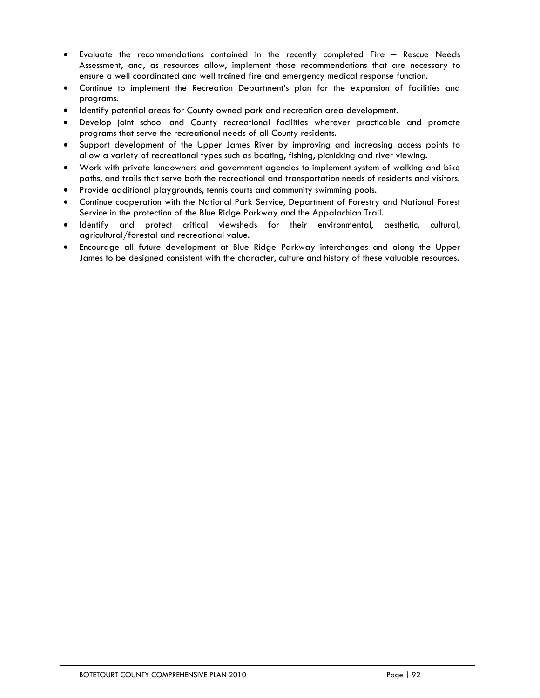- Evaluate the recommendations contained in the recently completed Fire Rescue Needs Assessment, and, as resources allow, implement those recommendations that are necessary to ensure a well coordinated and well trained fire and emergency medical response function.
- Continue to implement the Recreation Department's plan for the expansion of facilities and programs.
- Identify potential areas for County owned park and recreation area development.
- Develop joint school and County recreational facilities wherever practicable and promote programs that serve the recreational needs of all County residents.
- Support development of the Upper James River by improving and increasing access points to allow a variety of recreational types such as boating, fishing, picnicking and river viewing.
- Work with private landowners and government agencies to implement system of walking and bike paths, and trails that serve both the recreational and transportation needs of residents and visitors.
- Provide additional playgrounds, tennis courts and community swimming pools.
- Continue cooperation with the National Park Service, Department of Forestry and National Forest Service in the protection of the Blue Ridge Parkway and the Appalachian Trail.
- Identify and protect critical viewsheds for their environmental, aesthetic, cultural, agricultural/forestal and recreational value.
- Encourage all future development at Blue Ridge Parkway interchanges and along the Upper James to be designed consistent with the character, culture and history of these valuable resources.